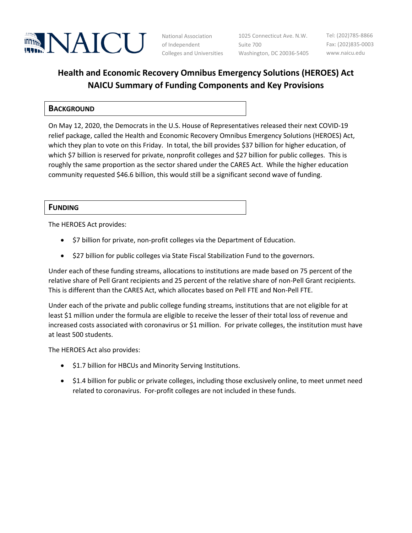

National Association of Independent Colleges and Universities Washington, DC 20036-5405

1025 Connecticut Ave. N.W. Suite 700

Tel: (202)785-8866 Fax: (202)835-0003 www.naicu.edu

# **Health and Economic Recovery Omnibus Emergency Solutions (HEROES) Act NAICU Summary of Funding Components and Key Provisions**

## **BACKGROUND**

On May 12, 2020, the Democrats in the U.S. House of Representatives released their next COVID-19 relief package, called the Health and Economic Recovery Omnibus Emergency Solutions (HEROES) Act, which they plan to vote on this Friday. In total, the bill provides \$37 billion for higher education, of which \$7 billion is reserved for private, nonprofit colleges and \$27 billion for public colleges. This is roughly the same proportion as the sector shared under the CARES Act. While the higher education community requested \$46.6 billion, this would still be a significant second wave of funding.

#### **FUNDING**

The HEROES Act provides:

- \$7 billion for private, non-profit colleges via the Department of Education.
- \$27 billion for public colleges via State Fiscal Stabilization Fund to the governors.

Under each of these funding streams, allocations to institutions are made based on 75 percent of the relative share of Pell Grant recipients and 25 percent of the relative share of non-Pell Grant recipients. This is different than the CARES Act, which allocates based on Pell FTE and Non-Pell FTE.

Under each of the private and public college funding streams, institutions that are not eligible for at least \$1 million under the formula are eligible to receive the lesser of their total loss of revenue and increased costs associated with coronavirus or \$1 million. For private colleges, the institution must have at least 500 students.

The HEROES Act also provides:

- \$1.7 billion for HBCUs and Minority Serving Institutions.
- \$1.4 billion for public or private colleges, including those exclusively online, to meet unmet need related to coronavirus. For-profit colleges are not included in these funds.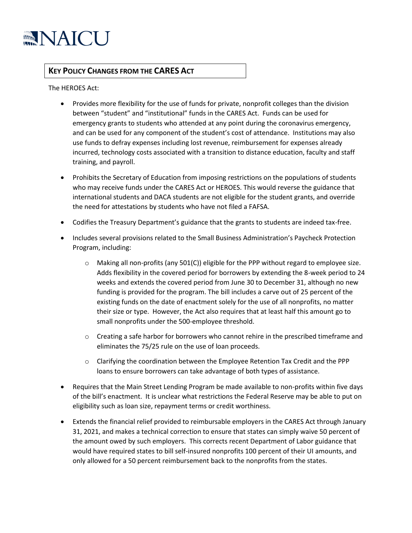

# **KEY POLICY CHANGES FROM THE CARES ACT**

The HEROES Act:

- Provides more flexibility for the use of funds for private, nonprofit colleges than the division between "student" and "institutional" funds in the CARES Act. Funds can be used for emergency grants to students who attended at any point during the coronavirus emergency, and can be used for any component of the student's cost of attendance. Institutions may also use funds to defray expenses including lost revenue, reimbursement for expenses already incurred, technology costs associated with a transition to distance education, faculty and staff training, and payroll.
- Prohibits the Secretary of Education from imposing restrictions on the populations of students who may receive funds under the CARES Act or HEROES. This would reverse the guidance that international students and DACA students are not eligible for the student grants, and override the need for attestations by students who have not filed a FAFSA.
- Codifies the Treasury Department's guidance that the grants to students are indeed tax-free.
- Includes several provisions related to the Small Business Administration's Paycheck Protection Program, including:
	- $\circ$  Making all non-profits (any 501(C)) eligible for the PPP without regard to employee size. Adds flexibility in the covered period for borrowers by extending the 8-week period to 24 weeks and extends the covered period from June 30 to December 31, although no new funding is provided for the program. The bill includes a carve out of 25 percent of the existing funds on the date of enactment solely for the use of all nonprofits, no matter their size or type. However, the Act also requires that at least half this amount go to small nonprofits under the 500-employee threshold.
	- $\circ$  Creating a safe harbor for borrowers who cannot rehire in the prescribed timeframe and eliminates the 75/25 rule on the use of loan proceeds.
	- $\circ$  Clarifying the coordination between the Employee Retention Tax Credit and the PPP loans to ensure borrowers can take advantage of both types of assistance.
- Requires that the Main Street Lending Program be made available to non-profits within five days of the bill's enactment. It is unclear what restrictions the Federal Reserve may be able to put on eligibility such as loan size, repayment terms or credit worthiness.
- Extends the financial relief provided to reimbursable employers in the CARES Act through January 31, 2021, and makes a technical correction to ensure that states can simply waive 50 percent of the amount owed by such employers. This corrects recent Department of Labor guidance that would have required states to bill self-insured nonprofits 100 percent of their UI amounts, and only allowed for a 50 percent reimbursement back to the nonprofits from the states.